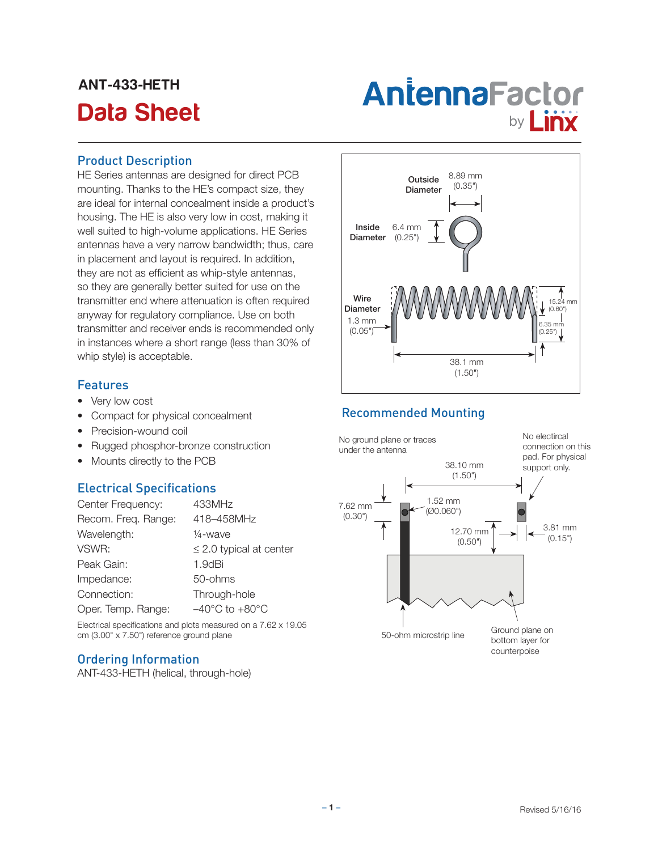## ANT-433-HETH

# Antenna Factor<br>Data Sheet **by Linx**

#### Product Description

HE Series antennas are designed for direct PCB mounting. Thanks to the HE's compact size, they are ideal for internal concealment inside a product's housing. The HE is also very low in cost, making it well suited to high-volume applications. HE Series antennas have a very narrow bandwidth; thus, care in placement and layout is required. In addition, they are not as efficient as whip-style antennas, so they are generally better suited for use on the transmitter end where attenuation is often required anyway for regulatory compliance. Use on both transmitter and receiver ends is recommended only in instances where a short range (less than 30% of whip style) is acceptable.

#### Features

- Very low cost
- Compact for physical concealment
- Precision-wound coil
- Rugged phosphor-bronze construction
- Mounts directly to the PCB

#### Electrical Specifications

| Center Frequency:   | 433MHz                             |
|---------------------|------------------------------------|
| Recom. Freq. Range: | 418-458MHz                         |
| Wavelength:         | 1/ <sub>4</sub> -wave              |
| VSWR:               | $\leq$ 2.0 typical at center       |
| Peak Gain:          | 1.9dBi                             |
| Impedance:          | 50-ohms                            |
| Connection:         | Through-hole                       |
| Oper. Temp. Range:  | $-40^{\circ}$ C to $+80^{\circ}$ C |

Electrical specifications and plots measured on a 7.62 x 19.05 cm (3.00" x 7.50") reference ground plane

#### Ordering Information

ANT-433-HETH (helical, through-hole)



#### Recommended Mounting

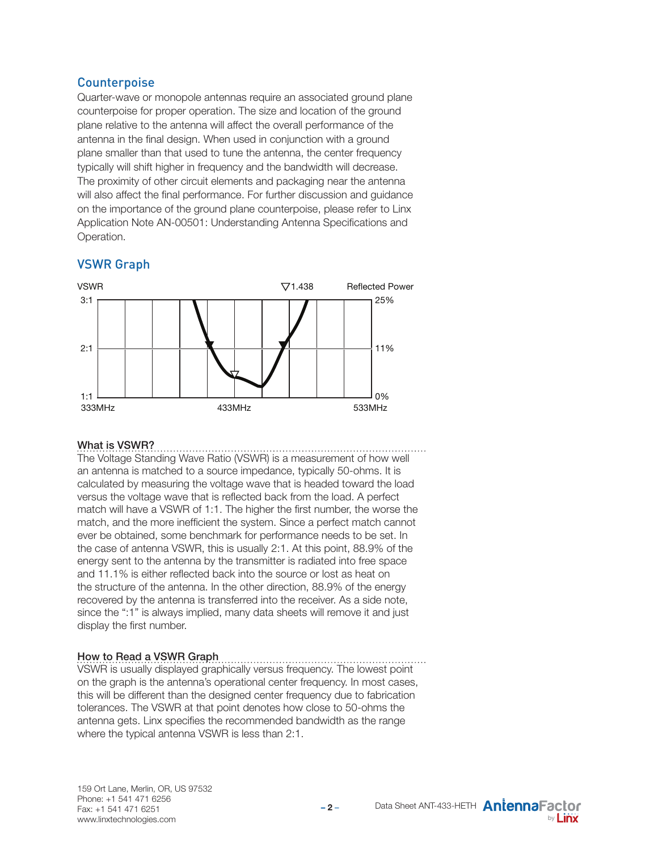#### **Counterpoise**

Quarter-wave or monopole antennas require an associated ground plane counterpoise for proper operation. The size and location of the ground plane relative to the antenna will affect the overall performance of the antenna in the final design. When used in conjunction with a ground plane smaller than that used to tune the antenna, the center frequency typically will shift higher in frequency and the bandwidth will decrease. The proximity of other circuit elements and packaging near the antenna will also affect the final performance. For further discussion and guidance on the importance of the ground plane counterpoise, please refer to Linx Application Note AN-00501: Understanding Antenna Specifications and Operation.

#### VSWR Graph



#### What is VSWR?

The Voltage Standing Wave Ratio (VSWR) is a measurement of how well an antenna is matched to a source impedance, typically 50-ohms. It is calculated by measuring the voltage wave that is headed toward the load versus the voltage wave that is reflected back from the load. A perfect match will have a VSWR of 1:1. The higher the first number, the worse the match, and the more inefficient the system. Since a perfect match cannot ever be obtained, some benchmark for performance needs to be set. In the case of antenna VSWR, this is usually 2:1. At this point, 88.9% of the energy sent to the antenna by the transmitter is radiated into free space and 11.1% is either reflected back into the source or lost as heat on the structure of the antenna. In the other direction, 88.9% of the energy recovered by the antenna is transferred into the receiver. As a side note, since the ":1" is always implied, many data sheets will remove it and just display the first number.

#### How to Read a VSWR Graph

VSWR is usually displayed graphically versus frequency. The lowest point on the graph is the antenna's operational center frequency. In most cases, this will be different than the designed center frequency due to fabrication tolerances. The VSWR at that point denotes how close to 50-ohms the antenna gets. Linx specifies the recommended bandwidth as the range where the typical antenna VSWR is less than 2:1.

**– 2** –